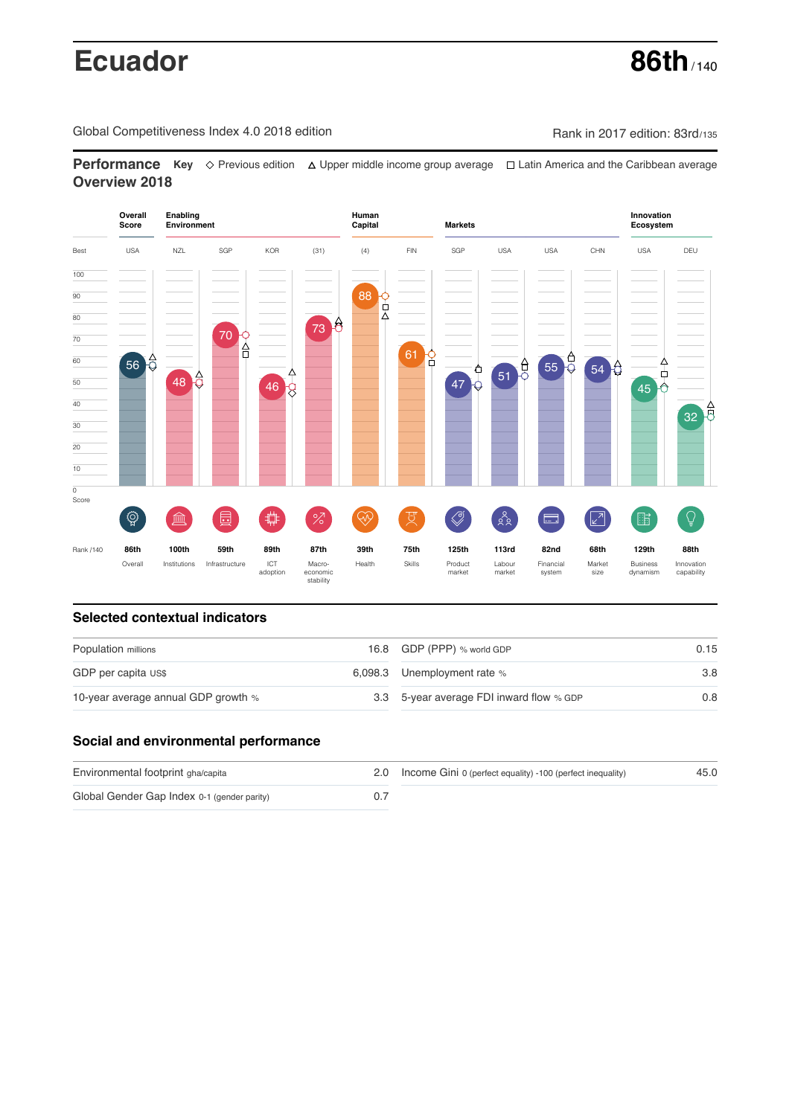# **Ecuador 86th** / 140

Global Competitiveness Index 4.0 2018 edition Company Rank in 2017 edition: 83rd/135

**Performance** Key ◇ Previous edition △ Upper middle income group average □ Latin America and the Caribbean average **Overview 2018**



# **Selected contextual indicators**

| Population millions                 | 16.8 GDP (PPP) % world GDP               | 0.15 |
|-------------------------------------|------------------------------------------|------|
| GDP per capita US\$                 | 6,098.3 Unemployment rate %              | 3.8  |
| 10-year average annual GDP growth % | 3.3 5-year average FDI inward flow % GDP | 0.8  |

# **Social and environmental performance**

| Environmental footprint gha/capita          | 2.0 Income Gini 0 (perfect equality) -100 (perfect inequality) | 45.0 |
|---------------------------------------------|----------------------------------------------------------------|------|
| Global Gender Gap Index 0-1 (gender parity) |                                                                |      |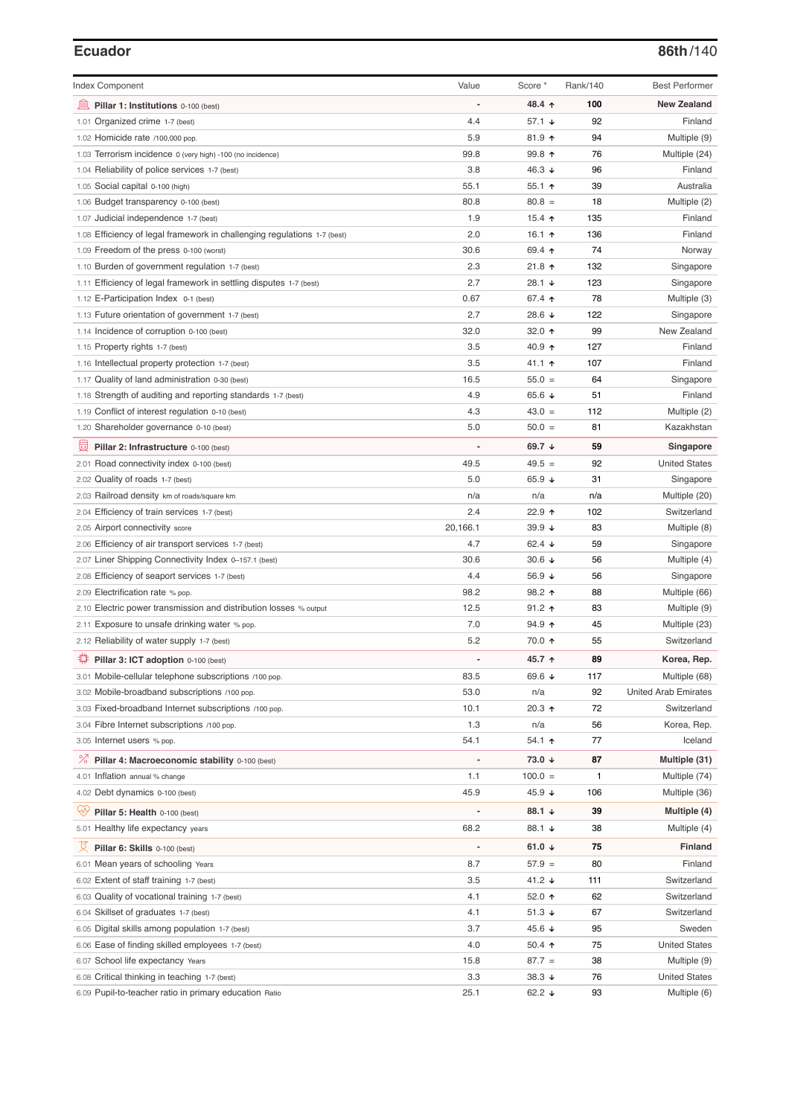### **Ecuador 86th**/140

| <b>Index Component</b>                                                   | Value       | Score *              | Rank/140 | <b>Best Performer</b>       |
|--------------------------------------------------------------------------|-------------|----------------------|----------|-----------------------------|
|                                                                          |             | 48.4 ↑               | 100      | <b>New Zealand</b>          |
| 無<br>Pillar 1: Institutions 0-100 (best)                                 |             | 57.1 $\sqrt{ }$      | 92       |                             |
| 1.01 Organized crime 1-7 (best)                                          | 4.4         |                      |          | Finland                     |
| 1.02 Homicide rate /100,000 pop.                                         | 5.9<br>99.8 | $81.9$ 1             | 94<br>76 | Multiple (9)                |
| 1.03 Terrorism incidence 0 (very high) -100 (no incidence)               | 3.8         | 99.8 个               |          | Multiple (24)               |
| 1.04 Reliability of police services 1-7 (best)                           |             | 46.3 $\downarrow$    | 96       | Finland                     |
| 1.05 Social capital 0-100 (high)                                         | 55.1        | $55.1$ 1             | 39       | Australia                   |
| 1.06 Budget transparency 0-100 (best)                                    | 80.8        | $80.8 =$             | 18       | Multiple (2)                |
| 1.07 Judicial independence 1-7 (best)                                    | 1.9         | 15.4 $\uparrow$      | 135      | Finland                     |
| 1.08 Efficiency of legal framework in challenging regulations 1-7 (best) | 2.0         | 16.1 $\uparrow$      | 136      | Finland                     |
| 1.09 Freedom of the press 0-100 (worst)                                  | 30.6        | 69.4 ↑               | 74       | Norway                      |
| 1.10 Burden of government regulation 1-7 (best)                          | 2.3         | $21.8$ ↑             | 132      | Singapore                   |
| 1.11 Efficiency of legal framework in settling disputes 1-7 (best)       | 2.7         | 28.1 $\sqrt{ }$      | 123      | Singapore                   |
| 1.12 E-Participation Index 0-1 (best)                                    | 0.67        | 67.4 ↑               | 78       | Multiple (3)                |
| 1.13 Future orientation of government 1-7 (best)                         | 2.7         | 28.6 ↓               | 122      | Singapore                   |
| 1.14 Incidence of corruption 0-100 (best)                                | 32.0        | 32.0 个               | 99       | New Zealand                 |
| 1.15 Property rights 1-7 (best)                                          | 3.5         | 40.9 ↑               | 127      | Finland                     |
| 1.16 Intellectual property protection 1-7 (best)                         | 3.5         | 41.1 ተ               | 107      | Finland                     |
| 1.17 Quality of land administration 0-30 (best)                          | 16.5        | $55.0 =$             | 64       | Singapore                   |
| 1.18 Strength of auditing and reporting standards 1-7 (best)             | 4.9         | 65.6 $\sqrt{ }$      | 51       | Finland                     |
| 1.19 Conflict of interest regulation 0-10 (best)                         | 4.3         | $43.0 =$             | 112      | Multiple (2)                |
| 1.20 Shareholder governance 0-10 (best)                                  | 5.0         | $50.0 =$             | 81       | Kazakhstan                  |
| 曼<br>Pillar 2: Infrastructure 0-100 (best)                               |             | 69.7 $\sqrt{ }$      | 59       | Singapore                   |
| 2.01 Road connectivity index 0-100 (best)                                | 49.5        | $49.5 =$             | 92       | <b>United States</b>        |
| 2.02 Quality of roads 1-7 (best)                                         | 5.0         | 65.9 $\sqrt{ }$      | 31       | Singapore                   |
| 2.03 Railroad density km of roads/square km                              | n/a         | n/a                  | n/a      | Multiple (20)               |
| 2.04 Efficiency of train services 1-7 (best)                             | 2.4         | 22.9 ↑               | 102      | Switzerland                 |
| 2.05 Airport connectivity score                                          | 20,166.1    | 39.9 $\sqrt{ }$      | 83       | Multiple (8)                |
| 2.06 Efficiency of air transport services 1-7 (best)                     | 4.7         | 62.4 $\sqrt{ }$      | 59       | Singapore                   |
| 2.07 Liner Shipping Connectivity Index 0-157.1 (best)                    | 30.6        | $30.6 \; \downarrow$ | 56       | Multiple (4)                |
| 2.08 Efficiency of seaport services 1-7 (best)                           | 4.4         | 56.9 ↓               | 56       | Singapore                   |
| 2.09 Electrification rate % pop.                                         | 98.2        | 98.2 ↑               | 88       | Multiple (66)               |
| 2.10 Electric power transmission and distribution losses % output        | 12.5        | $91.2$ ↑             | 83       | Multiple (9)                |
| 2.11 Exposure to unsafe drinking water % pop.                            | 7.0         | 94.9 $\uparrow$      | 45       | Multiple (23)               |
| 2.12 Reliability of water supply 1-7 (best)                              | 5.2         | 70.0 ↑               | 55       | Switzerland                 |
| ₩<br>Pillar 3: ICT adoption 0-100 (best)                                 |             | 45.7 ↑               | 89       | Korea, Rep.                 |
| 3.01 Mobile-cellular telephone subscriptions /100 pop.                   | 83.5        | 69.6 ↓               | 117      | Multiple (68)               |
| 3.02 Mobile-broadband subscriptions /100 pop.                            | 53.0        | n/a                  | 92       | <b>United Arab Emirates</b> |
| 3.03 Fixed-broadband Internet subscriptions /100 pop.                    | 10.1        | 20.3 ↑               | 72       | Switzerland                 |
| 3.04 Fibre Internet subscriptions /100 pop.                              | 1.3         | n/a                  | 56       | Korea, Rep.                 |
| 3.05 Internet users % pop.                                               | 54.1        | 54.1 ↑               | 77       | Iceland                     |
| <sup>%</sup> Pillar 4: Macroeconomic stability 0-100 (best)              |             | 73.0 ↓               | 87       | Multiple (31)               |
|                                                                          |             | $100.0 =$            | 1        |                             |
| 4.01 Inflation annual % change                                           | 1.1         |                      |          | Multiple (74)               |
| 4.02 Debt dynamics 0-100 (best)                                          | 45.9        | 45.9 ↓               | 106      | Multiple (36)               |
| Qv<br>Pillar 5: Health 0-100 (best)                                      |             | 88.1 ↓               | 39       | Multiple (4)                |
| 5.01 Healthy life expectancy years                                       | 68.2        | 88.1 ↓               | 38       | Multiple (4)                |
| 섯<br>Pillar 6: Skills 0-100 (best)                                       |             | 61.0 $\sqrt{ }$      | 75       | <b>Finland</b>              |
| 6.01 Mean years of schooling Years                                       | 8.7         | $57.9 =$             | 80       | Finland                     |
| 6.02 Extent of staff training 1-7 (best)                                 | 3.5         | 41.2 ↓               | 111      | Switzerland                 |
| 6.03 Quality of vocational training 1-7 (best)                           | 4.1         | 52.0 ↑               | 62       | Switzerland                 |
| 6.04 Skillset of graduates 1-7 (best)                                    | 4.1         | 51.3 $\sqrt{ }$      | 67       | Switzerland                 |
| 6.05 Digital skills among population 1-7 (best)                          | 3.7         | 45.6 ↓               | 95       | Sweden                      |
| 6.06 Ease of finding skilled employees 1-7 (best)                        | 4.0         | $50.4$ ↑             | 75       | <b>United States</b>        |
| 6.07 School life expectancy Years                                        | 15.8        | $87.7 =$             | 38       | Multiple (9)                |
| 6.08 Critical thinking in teaching 1-7 (best)                            | 3.3         | 38.3 $\downarrow$    | 76       | <b>United States</b>        |
| 6.09 Pupil-to-teacher ratio in primary education Ratio                   | 25.1        | 62.2 ↓               | 93       | Multiple (6)                |